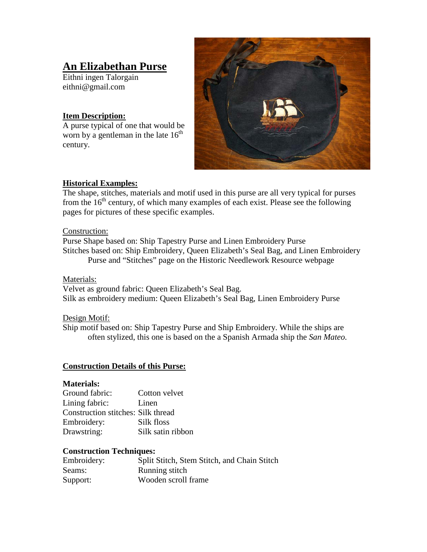# **An Elizabethan Purse**

Eithni ingen Talorgain eithni@gmail.com

#### **Item Description:**

A purse typical of one that would be worn by a gentleman in the late  $16<sup>th</sup>$ century.



#### **Historical Examples:**

The shape, stitches, materials and motif used in this purse are all very typical for purses from the  $16<sup>th</sup>$  century, of which many examples of each exist. Please see the following pages for pictures of these specific examples.

#### Construction:

Purse Shape based on: Ship Tapestry Purse and Linen Embroidery Purse Stitches based on: Ship Embroidery, Queen Elizabeth's Seal Bag, and Linen Embroidery Purse and "Stitches" page on the Historic Needlework Resource webpage

Materials:

Velvet as ground fabric: Queen Elizabeth's Seal Bag. Silk as embroidery medium: Queen Elizabeth's Seal Bag, Linen Embroidery Purse

#### Design Motif:

Ship motif based on: Ship Tapestry Purse and Ship Embroidery. While the ships are often stylized, this one is based on the a Spanish Armada ship the *San Mateo.*

#### **Construction Details of this Purse:**

#### **Materials:**

| Ground fabric:                            | Cotton velvet     |
|-------------------------------------------|-------------------|
| Lining fabric:                            | Linen             |
| <b>Construction stitches: Silk thread</b> |                   |
| Embroidery:                               | Silk floss        |
| Drawstring:                               | Silk satin ribbon |

#### **Construction Techniques:**

| Embroidery: | Split Stitch, Stem Stitch, and Chain Stitch |
|-------------|---------------------------------------------|
| Seams:      | Running stitch                              |
| Support:    | Wooden scroll frame                         |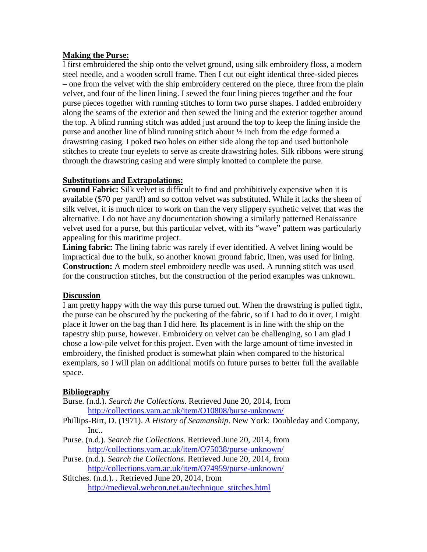#### **Making the Purse:**

I first embroidered the ship onto the velvet ground, using silk embroidery floss, a modern steel needle, and a wooden scroll frame. Then I cut out eight identical three-sided pieces – one from the velvet with the ship embroidery centered on the piece, three from the plain velvet, and four of the linen lining. I sewed the four lining pieces together and the four purse pieces together with running stitches to form two purse shapes. I added embroidery along the seams of the exterior and then sewed the lining and the exterior together around the top. A blind running stitch was added just around the top to keep the lining inside the purse and another line of blind running stitch about  $\frac{1}{2}$  inch from the edge formed a drawstring casing. I poked two holes on either side along the top and used buttonhole stitches to create four eyelets to serve as create drawstring holes. Silk ribbons were strung through the drawstring casing and were simply knotted to complete the purse.

#### **Substitutions and Extrapolations:**

**Ground Fabric:** Silk velvet is difficult to find and prohibitively expensive when it is available (\$70 per yard!) and so cotton velvet was substituted. While it lacks the sheen of silk velvet, it is much nicer to work on than the very slippery synthetic velvet that was the alternative. I do not have any documentation showing a similarly patterned Renaissance velvet used for a purse, but this particular velvet, with its "wave" pattern was particularly appealing for this maritime project.

**Lining fabric:** The lining fabric was rarely if ever identified. A velvet lining would be impractical due to the bulk, so another known ground fabric, linen, was used for lining. **Construction:** A modern steel embroidery needle was used. A running stitch was used for the construction stitches, but the construction of the period examples was unknown.

#### **Discussion**

I am pretty happy with the way this purse turned out. When the drawstring is pulled tight, the purse can be obscured by the puckering of the fabric, so if I had to do it over, I might place it lower on the bag than I did here. Its placement is in line with the ship on the tapestry ship purse, however. Embroidery on velvet can be challenging, so I am glad I chose a low-pile velvet for this project. Even with the large amount of time invested in embroidery, the finished product is somewhat plain when compared to the historical exemplars, so I will plan on additional motifs on future purses to better full the available space.

#### **Bibliography**

- Burse. (n.d.). *Search the Collections*. Retrieved June 20, 2014, from <http://collections.vam.ac.uk/item/O10808/burse-unknown/>
- Phillips-Birt, D. (1971). *A History of Seamanship*. New York: Doubleday and Company, Inc..
- Purse. (n.d.). *Search the Collections*. Retrieved June 20, 2014, from <http://collections.vam.ac.uk/item/O75038/purse-unknown/>
- Purse. (n.d.). *Search the Collections*. Retrieved June 20, 2014, from <http://collections.vam.ac.uk/item/O74959/purse-unknown/>
- Stitches. (n.d.). . Retrieved June 20, 2014, from [http://medieval.webcon.net.au/technique\\_stitches.html](http://medieval.webcon.net.au/technique_stitches.html)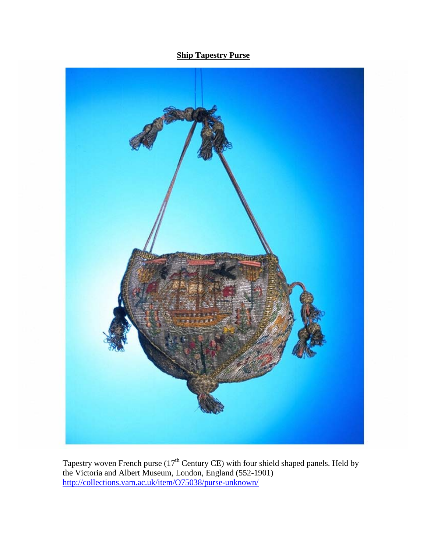## **Ship Tapestry Purse**



Tapestry woven French purse  $(17<sup>th</sup>$  Century CE) with four shield shaped panels. Held by the Victoria and Albert Museum, London, England (552-1901) <http://collections.vam.ac.uk/item/O75038/purse-unknown/>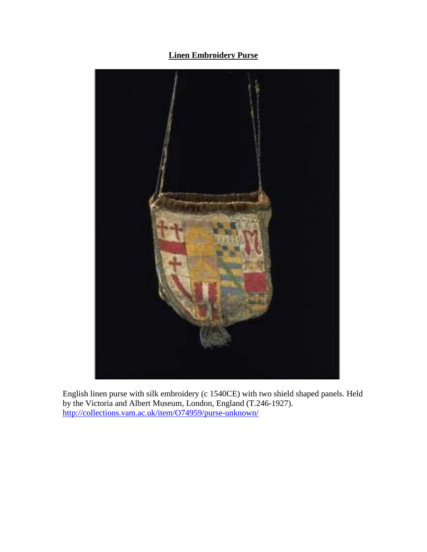**Linen Embroidery Purse** 



English linen purse with silk embroidery (c 1540CE) with two shield shaped panels. Held by the Victoria and Albert Museum, London, England (T.246-1927). <http://collections.vam.ac.uk/item/O74959/purse-unknown/>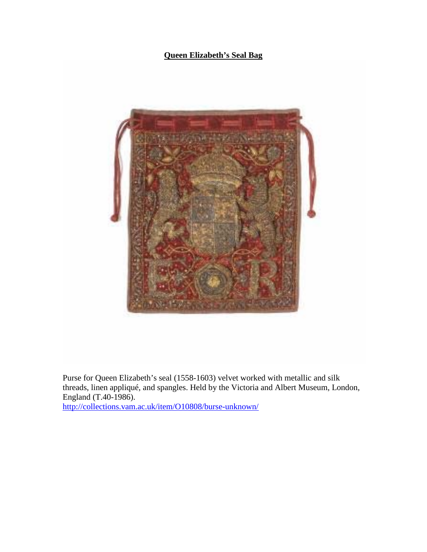### **Queen Elizabeth's Seal Bag**



Purse for Queen Elizabeth's seal (1558-1603) velvet worked with metallic and silk threads, linen appliqué, and spangles. Held by the Victoria and Albert Museum, London, England (T.40-1986).

<http://collections.vam.ac.uk/item/O10808/burse-unknown/>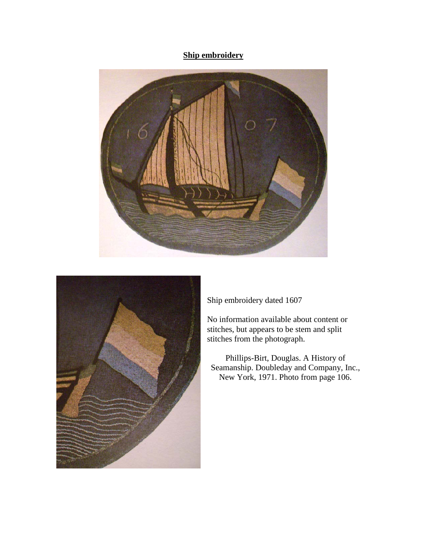## **Ship embroidery**





Ship embroidery dated 1607

No information available about content or stitches, but appears to be stem and split stitches from the photograph.

Phillips-Birt, Douglas. A History of Seamanship. Doubleday and Company, Inc., New York, 1971. Photo from page 106.